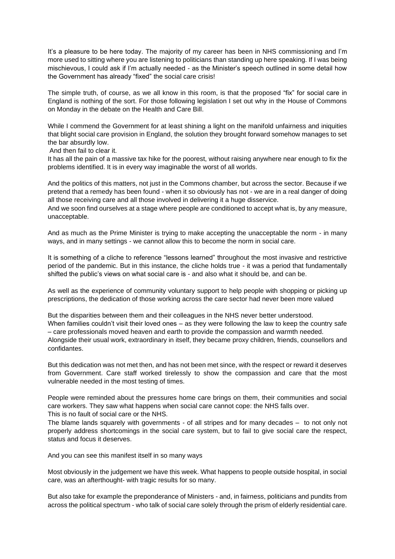It's a pleasure to be here today. The majority of my career has been in NHS commissioning and I'm more used to sitting where you are listening to politicians than standing up here speaking. If I was being mischievous, I could ask if I'm actually needed - as the Minister's speech outlined in some detail how the Government has already "fixed" the social care crisis!

The simple truth, of course, as we all know in this room, is that the proposed "fix" for social care in England is nothing of the sort. For those following legislation I set out why in the House of Commons on Monday in the debate on the Health and Care Bill.

While I commend the Government for at least shining a light on the manifold unfairness and iniquities that blight social care provision in England, the solution they brought forward somehow manages to set the bar absurdly low.

And then fail to clear it.

It has all the pain of a massive tax hike for the poorest, without raising anywhere near enough to fix the problems identified. It is in every way imaginable the worst of all worlds.

And the politics of this matters, not just in the Commons chamber, but across the sector. Because if we pretend that a remedy has been found - when it so obviously has not - we are in a real danger of doing all those receiving care and all those involved in delivering it a huge disservice.

And we soon find ourselves at a stage where people are conditioned to accept what is, by any measure, unacceptable.

And as much as the Prime Minister is trying to make accepting the unacceptable the norm - in many ways, and in many settings - we cannot allow this to become the norm in social care.

It is something of a cliche to reference "lessons learned" throughout the most invasive and restrictive period of the pandemic. But in this instance, the cliche holds true - it was a period that fundamentally shifted the public's views on what social care is - and also what it should be, and can be.

As well as the experience of community voluntary support to help people with shopping or picking up prescriptions, the dedication of those working across the care sector had never been more valued

But the disparities between them and their colleagues in the NHS never better understood.

When families couldn't visit their loved ones – as they were following the law to keep the country safe – care professionals moved heaven and earth to provide the compassion and warmth needed. Alongside their usual work, extraordinary in itself, they became proxy children, friends, counsellors and

confidantes.

But this dedication was not met then, and has not been met since, with the respect or reward it deserves from Government. Care staff worked tirelessly to show the compassion and care that the most vulnerable needed in the most testing of times.

People were reminded about the pressures home care brings on them, their communities and social care workers. They saw what happens when social care cannot cope: the NHS falls over. This is no fault of social care or the NHS.

The blame lands squarely with governments - of all stripes and for many decades – to not only not properly address shortcomings in the social care system, but to fail to give social care the respect, status and focus it deserves.

And you can see this manifest itself in so many ways

Most obviously in the judgement we have this week. What happens to people outside hospital, in social care, was an afterthought- with tragic results for so many.

But also take for example the preponderance of Ministers - and, in fairness, politicians and pundits from across the political spectrum - who talk of social care solely through the prism of elderly residential care.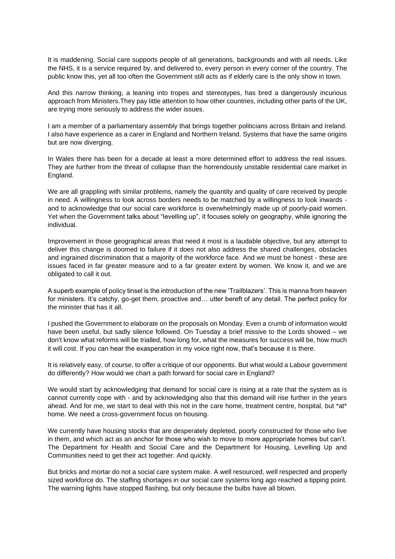It is maddening. Social care supports people of all generations, backgrounds and with all needs. Like the NHS, it is a service required by, and delivered to, every person in every corner of the country. The public know this, yet all too often the Government still acts as if elderly care is the only show in town.

And this narrow thinking, a leaning into tropes and stereotypes, has bred a dangerously incurious approach from Ministers.They pay little attention to how other countries, including other parts of the UK, are trying more seriously to address the wider issues.

I am a member of a parliamentary assembly that brings together politicians across Britain and Ireland. I also have experience as a carer in England and Northern Ireland. Systems that have the same origins but are now diverging.

In Wales there has been for a decade at least a more determined effort to address the real issues. They are further from the threat of collapse than the horrendously unstable residential care market in England.

We are all grappling with similar problems, namely the quantity and quality of care received by people in need. A willingness to look across borders needs to be matched by a willingness to look inwards and to acknowledge that our social care workforce is overwhelmingly made up of poorly-paid women. Yet when the Government talks about "levelling up", it focuses solely on geography, while ignoring the individual.

Improvement in those geographical areas that need it most is a laudable objective, but any attempt to deliver this change is doomed to failure if it does not also address the shared challenges, obstacles and ingrained discrimination that a majority of the workforce face. And we must be honest - these are issues faced in far greater measure and to a far greater extent by women. We know it, and we are obligated to call it out.

A superb example of policy tinsel is the introduction of the new 'Trailblazers'. This is manna from heaven for ministers. It's catchy, go-get them, proactive and... utter bereft of any detail. The perfect policy for the minister that has it all.

I pushed the Government to elaborate on the proposals on Monday. Even a crumb of information would have been useful, but sadly silence followed. On Tuesday a brief missive to the Lords showed – we don't know what reforms will be trialled, how long for, what the measures for success will be, how much it will cost. If you can hear the exasperation in my voice right now, that's because it is there.

It is relatively easy, of course, to offer a critique of our opponents. But what would a Labour government do differently? How would we chart a path forward for social care in England?

We would start by acknowledging that demand for social care is rising at a rate that the system as is cannot currently cope with - and by acknowledging also that this demand will rise further in the years ahead. And for me, we start to deal with this not in the care home, treatment centre, hospital, but \*at\* home. We need a cross-government focus on housing.

We currently have housing stocks that are desperately depleted, poorly constructed for those who live in them, and which act as an anchor for those who wish to move to more appropriate homes but can't. The Department for Health and Social Care and the Department for Housing, Levelling Up and Communities need to get their act together. And quickly.

But bricks and mortar do not a social care system make. A well resourced, well respected and properly sized workforce do. The staffing shortages in our social care systems long ago reached a tipping point. The warning lights have stopped flashing, but only because the bulbs have all blown.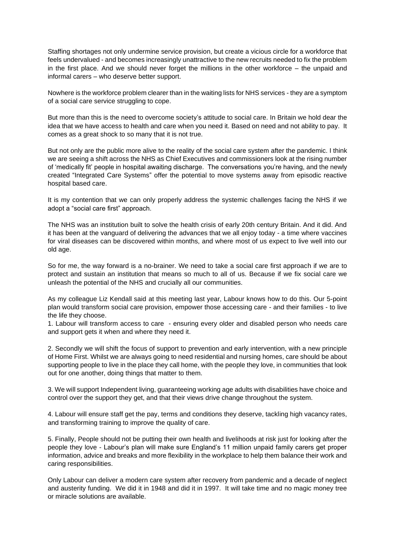Staffing shortages not only undermine service provision, but create a vicious circle for a workforce that feels undervalued - and becomes increasingly unattractive to the new recruits needed to fix the problem in the first place. And we should never forget the millions in the other workforce – the unpaid and informal carers – who deserve better support.

Nowhere is the workforce problem clearer than in the waiting lists for NHS services - they are a symptom of a social care service struggling to cope.

But more than this is the need to overcome society's attitude to social care. In Britain we hold dear the idea that we have access to health and care when you need it. Based on need and not ability to pay. It comes as a great shock to so many that it is not true.

But not only are the public more alive to the reality of the social care system after the pandemic. I think we are seeing a shift across the NHS as Chief Executives and commissioners look at the rising number of 'medically fit' people in hospital awaiting discharge. The conversations you're having, and the newly created "Integrated Care Systems" offer the potential to move systems away from episodic reactive hospital based care.

It is my contention that we can only properly address the systemic challenges facing the NHS if we adopt a "social care first" approach.

The NHS was an institution built to solve the health crisis of early 20th century Britain. And it did. And it has been at the vanguard of delivering the advances that we all enjoy today - a time where vaccines for viral diseases can be discovered within months, and where most of us expect to live well into our old age.

So for me, the way forward is a no-brainer. We need to take a social care first approach if we are to protect and sustain an institution that means so much to all of us. Because if we fix social care we unleash the potential of the NHS and crucially all our communities.

As my colleague Liz Kendall said at this meeting last year, Labour knows how to do this. Our 5-point plan would transform social care provision, empower those accessing care - and their families - to live the life they choose.

1. Labour will transform access to care - ensuring every older and disabled person who needs care and support gets it when and where they need it.

2. Secondly we will shift the focus of support to prevention and early intervention, with a new principle of Home First. Whilst we are always going to need residential and nursing homes, care should be about supporting people to live in the place they call home, with the people they love, in communities that look out for one another, doing things that matter to them.

3. We will support Independent living, guaranteeing working age adults with disabilities have choice and control over the support they get, and that their views drive change throughout the system.

4. Labour will ensure staff get the pay, terms and conditions they deserve, tackling high vacancy rates, and transforming training to improve the quality of care.

5. Finally, People should not be putting their own health and livelihoods at risk just for looking after the people they love - Labour's plan will make sure England's 11 million unpaid family carers get proper information, advice and breaks and more flexibility in the workplace to help them balance their work and caring responsibilities.

Only Labour can deliver a modern care system after recovery from pandemic and a decade of neglect and austerity funding. We did it in 1948 and did it in 1997. It will take time and no magic money tree or miracle solutions are available.